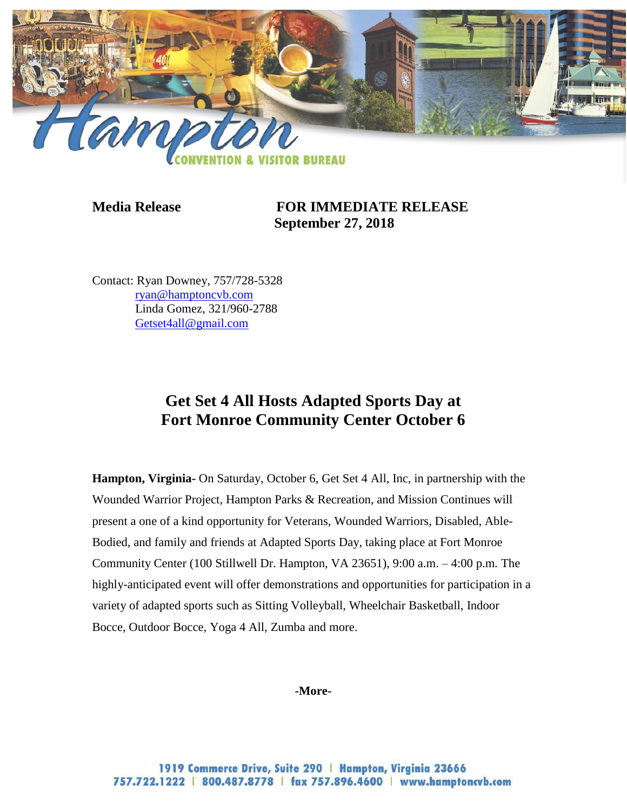

**Media Release FOR IMMEDIATE RELEASE September 27, 2018**

Contact: Ryan Downey, 757/728-5328 [ryan@hamptoncvb.com](mailto:ryan@hamptoncvb.com) Linda Gomez, 321/960-2788 [Getset4all@gmail.com](mailto:Getset4all@gmail.com)

## **Get Set 4 All Hosts Adapted Sports Day at Fort Monroe Community Center October 6**

**Hampton, Virginia-** On Saturday, October 6, Get Set 4 All, Inc, in partnership with the Wounded Warrior Project, Hampton Parks & Recreation, and Mission Continues will present a one of a kind opportunity for Veterans, Wounded Warriors, Disabled, Able-Bodied, and family and friends at Adapted Sports Day, taking place at Fort Monroe Community Center (100 Stillwell Dr. Hampton, VA 23651), 9:00 a.m. – 4:00 p.m*.* The highly-anticipated event will offer demonstrations and opportunities for participation in a variety of adapted sports such as Sitting Volleyball, Wheelchair Basketball, Indoor Bocce, Outdoor Bocce, Yoga 4 All, Zumba and more.

**-More-**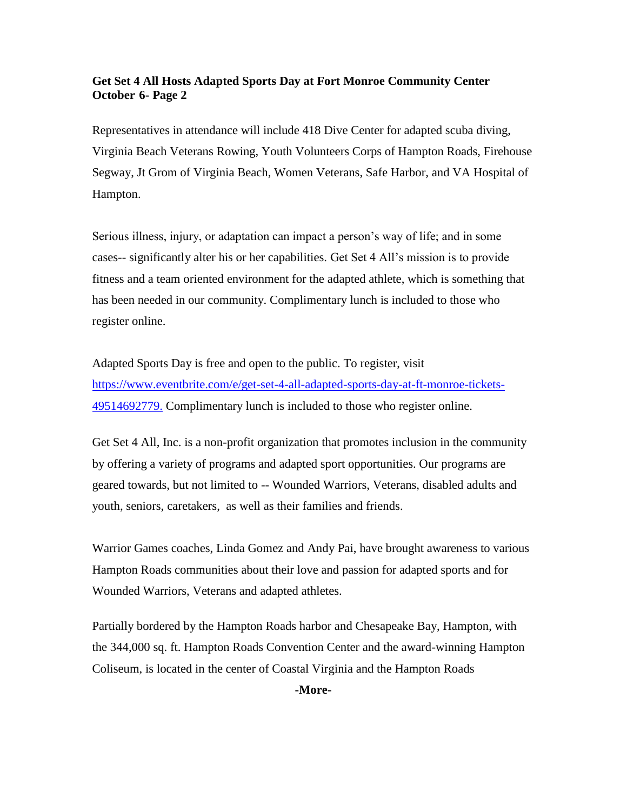## **Get Set 4 All Hosts Adapted Sports Day at Fort Monroe Community Center October 6- Page 2**

Representatives in attendance will include 418 Dive Center for adapted scuba diving, Virginia Beach Veterans Rowing, Youth Volunteers Corps of Hampton Roads, Firehouse Segway, Jt Grom of Virginia Beach, Women Veterans, Safe Harbor, and VA Hospital of Hampton.

Serious illness, injury, or adaptation can impact a person's way of life; and in some cases-- significantly alter his or her capabilities. Get Set 4 All's mission is to provide fitness and a team oriented environment for the adapted athlete, which is something that has been needed in our community. Complimentary lunch is included to those who register online.

Adapted Sports Day is free and open to the public. To register, visit [https://www.eventbrite.com/e/get-set-4-all-adapted-sports-day-at-ft-monroe-tickets-](https://www.eventbrite.com/e/get-set-4-all-adapted-sports-day-at-ft-monroe-tickets-49514692779)[49514692779.](https://www.eventbrite.com/e/get-set-4-all-adapted-sports-day-at-ft-monroe-tickets-49514692779) Complimentary lunch is included to those who register online.

Get Set 4 All, Inc. is a non-profit organization that promotes inclusion in the community by offering a variety of programs and adapted sport opportunities. Our programs are geared towards, but not limited to -- Wounded Warriors, Veterans, disabled adults and youth, seniors, caretakers, as well as their families and friends.

Warrior Games coaches, Linda Gomez and Andy Pai, have brought awareness to various Hampton Roads communities about their love and passion for adapted sports and for Wounded Warriors, Veterans and adapted athletes.

Partially bordered by the Hampton Roads harbor and Chesapeake Bay, Hampton, with the 344,000 sq. ft. Hampton Roads Convention Center and the award-winning Hampton Coliseum, is located in the center of Coastal Virginia and the Hampton Roads

**-More-**